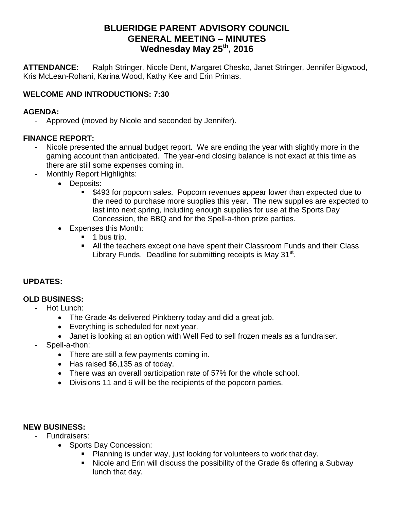# **BLUERIDGE PARENT ADVISORY COUNCIL GENERAL MEETING – MINUTES Wednesday May 25 th, 2016**

**ATTENDANCE:** Ralph Stringer, Nicole Dent, Margaret Chesko, Janet Stringer, Jennifer Bigwood, Kris McLean-Rohani, Karina Wood, Kathy Kee and Erin Primas.

# **WELCOME AND INTRODUCTIONS: 7:30**

#### **AGENDA:**

- Approved (moved by Nicole and seconded by Jennifer).

#### **FINANCE REPORT:**

- Nicole presented the annual budget report. We are ending the year with slightly more in the gaming account than anticipated. The year-end closing balance is not exact at this time as there are still some expenses coming in.
- Monthly Report Highlights:
	- Deposits:
		- \$493 for popcorn sales. Popcorn revenues appear lower than expected due to the need to purchase more supplies this year. The new supplies are expected to last into next spring, including enough supplies for use at the Sports Day Concession, the BBQ and for the Spell-a-thon prize parties.
	- Expenses this Month:
		- **1** bus trip.
		- All the teachers except one have spent their Classroom Funds and their Class Library Funds. Deadline for submitting receipts is May 31<sup>st</sup>.

## **UPDATES:**

## **OLD BUSINESS:**

- Hot Lunch:
	- The Grade 4s delivered Pinkberry today and did a great job.
	- Everything is scheduled for next year.
	- Janet is looking at an option with Well Fed to sell frozen meals as a fundraiser.
- Spell-a-thon:
	- There are still a few payments coming in.
	- Has raised \$6,135 as of today.
	- There was an overall participation rate of 57% for the whole school.
	- Divisions 11 and 6 will be the recipients of the popcorn parties.

## **NEW BUSINESS:**

- Fundraisers:
	- Sports Day Concession:
		- **Planning is under way, just looking for volunteers to work that day.**
		- Nicole and Erin will discuss the possibility of the Grade 6s offering a Subway lunch that day.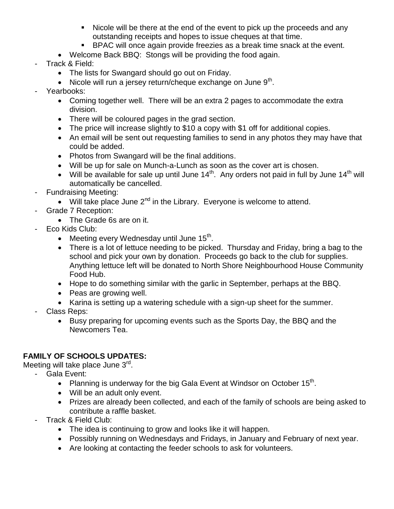- Nicole will be there at the end of the event to pick up the proceeds and any outstanding receipts and hopes to issue cheques at that time.
- BPAC will once again provide freezies as a break time snack at the event.
- Welcome Back BBQ: Stongs will be providing the food again.
- Track & Field:
	- The lists for Swangard should go out on Friday.
	- $\bullet$  Nicole will run a jersey return/cheque exchange on June 9<sup>th</sup>.
- Yearbooks:
	- Coming together well. There will be an extra 2 pages to accommodate the extra division.
	- There will be coloured pages in the grad section.
	- The price will increase slightly to \$10 a copy with \$1 off for additional copies.
	- An email will be sent out requesting families to send in any photos they may have that could be added.
	- Photos from Swangard will be the final additions.
	- Will be up for sale on Munch-a-Lunch as soon as the cover art is chosen.
	- Will be available for sale up until June  $14<sup>th</sup>$ . Any orders not paid in full by June  $14<sup>th</sup>$  will automatically be cancelled.
- Fundraising Meeting:
	- $\bullet$  Will take place June 2<sup>nd</sup> in the Library. Everyone is welcome to attend.
	- Grade 7 Reception:
		- The Grade 6s are on it.
- Eco Kids Club:
	- Meeting every Wednesday until June  $15<sup>th</sup>$ .
	- There is a lot of lettuce needing to be picked. Thursday and Friday, bring a bag to the school and pick your own by donation. Proceeds go back to the club for supplies. Anything lettuce left will be donated to North Shore Neighbourhood House Community Food Hub.
	- Hope to do something similar with the garlic in September, perhaps at the BBQ.
	- Peas are growing well.
	- Karina is setting up a watering schedule with a sign-up sheet for the summer.
- Class Reps:
	- Busy preparing for upcoming events such as the Sports Day, the BBQ and the Newcomers Tea.

# **FAMILY OF SCHOOLS UPDATES:**

Meeting will take place June 3<sup>rd</sup>.

- Gala Event:
	- Planning is underway for the big Gala Event at Windsor on October  $15<sup>th</sup>$ .
	- Will be an adult only event.
	- Prizes are already been collected, and each of the family of schools are being asked to contribute a raffle basket.
- Track & Field Club:
	- The idea is continuing to grow and looks like it will happen.
	- Possibly running on Wednesdays and Fridays, in January and February of next year.
	- Are looking at contacting the feeder schools to ask for volunteers.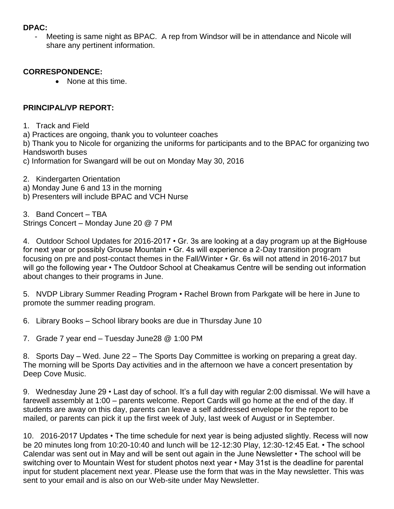#### **DPAC:**

Meeting is same night as BPAC. A rep from Windsor will be in attendance and Nicole will share any pertinent information.

#### **CORRESPONDENCE:**

• None at this time.

## **PRINCIPAL/VP REPORT:**

- 1. Track and Field
- a) Practices are ongoing, thank you to volunteer coaches

b) Thank you to Nicole for organizing the uniforms for participants and to the BPAC for organizing two Handsworth buses

- c) Information for Swangard will be out on Monday May 30, 2016
- 2. Kindergarten Orientation
- a) Monday June 6 and 13 in the morning
- b) Presenters will include BPAC and VCH Nurse

3. Band Concert – TBA Strings Concert – Monday June 20 @ 7 PM

4. Outdoor School Updates for 2016-2017 • Gr. 3s are looking at a day program up at the BigHouse for next year or possibly Grouse Mountain • Gr. 4s will experience a 2-Day transition program focusing on pre and post-contact themes in the Fall/Winter • Gr. 6s will not attend in 2016-2017 but will go the following year • The Outdoor School at Cheakamus Centre will be sending out information about changes to their programs in June.

5. NVDP Library Summer Reading Program • Rachel Brown from Parkgate will be here in June to promote the summer reading program.

6. Library Books – School library books are due in Thursday June 10

7. Grade 7 year end – Tuesday June28 @ 1:00 PM

8. Sports Day – Wed. June 22 – The Sports Day Committee is working on preparing a great day. The morning will be Sports Day activities and in the afternoon we have a concert presentation by Deep Cove Music.

9. Wednesday June 29 • Last day of school. It's a full day with regular 2:00 dismissal. We will have a farewell assembly at 1:00 – parents welcome. Report Cards will go home at the end of the day. If students are away on this day, parents can leave a self addressed envelope for the report to be mailed, or parents can pick it up the first week of July, last week of August or in September.

10. 2016-2017 Updates • The time schedule for next year is being adjusted slightly. Recess will now be 20 minutes long from 10:20-10:40 and lunch will be 12-12:30 Play, 12:30-12:45 Eat. • The school Calendar was sent out in May and will be sent out again in the June Newsletter • The school will be switching over to Mountain West for student photos next year • May 31st is the deadline for parental input for student placement next year. Please use the form that was in the May newsletter. This was sent to your email and is also on our Web-site under May Newsletter.